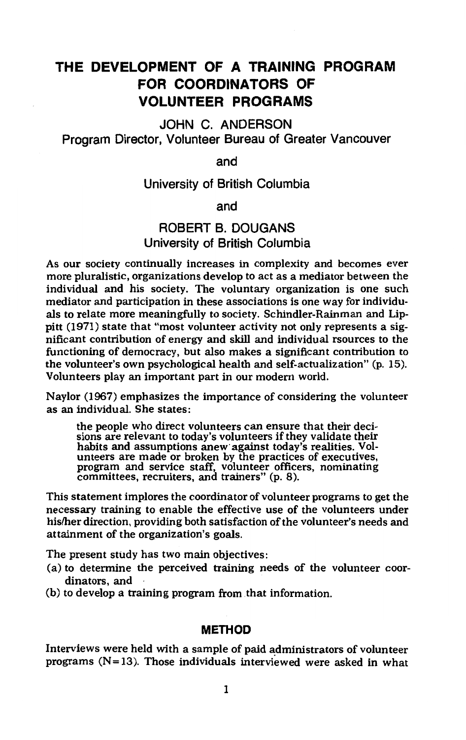# **THE DEVELOPMENT OF A TRAINING PROGRAM FOR COORDINATORS OF VOLUNTEER PROGRAMS**

JOHN C. ANDERSON Program Director, Volunteer Bureau of Greater Vancouver

and

# University of British Columbia

and

# ROBERT B. DOUGANS University of British Columbia

As our society continually increases in complexity and becomes ever more pluralistic, organizations develop to act as a mediator between the individual and his society. The voluntary organization is one such mediator and participation in these associations is one way for individuals to relate more meaningfully to society. Schindler-Rainman and Lippitt (1971) state that "most volunteer activity not only represents a significant contribution of energy and skill and individual rsources to the functioning of democracy, but also makes a significant contribution to the volunteer's own psychological health and self-actualization" (p. 15). Volunteers play an important part in our modern world.

Naylor (1967) emphasizes the importance of considering the volunteer as an individual. She states:

the people who direct volunteers can ensure that their decisions are relevant to today's volunteers if they validate their habits and assumptions anew· against today's realities. Vol-unteers are made or broken by the practices of executives, program and service staff, volunteer officers, nominating committees, recruiters, and trainers" (p. 8).

This statement implores the coordinator of volunteer programs to get the necessary training to enable the effective use of the volunteers under his/her direction, providing both satisfaction of the volunteer's needs and attainment of the organization's goals.

The present study has two main objectives:

- (a) to determine the perceived training needs of the volunteer coordinators, and
- (b) to develop a training program from that information.

# **METHOD**

Interviews were held with a sample of paid administrators of volunteer programs  $(N=13)$ . Those individuals interviewed were asked in what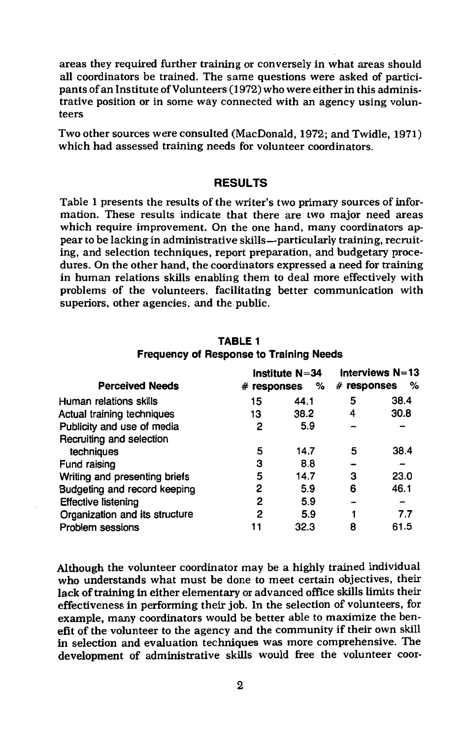areas they required further training or conversely in what areas should all coordinators be trained. The same questions were asked of participants of an Institute of Volunteers (1972) who were either in this administrative position or in some way connected with an agency using volunteers

Two other sources were consulted (MacDonald, 1972; and Twidle, 1971) which had assessed training needs for volunteer coordinators.

#### **RESULTS**

Table 1 presents the results of the writer's two primary sources of information. These results indicate that there are two major need areas which require improvement. On the one hand, many coordinators appear to be lacking in administrative skills-particularly training, recruiting, and selection techniques, report preparation, and budgetary procedures. On the other hand, the coordinators expressed a need for training in human relations skills enabling them to deal more effectively with problems of the volunteers, facilitating better communication with superiors, other agencies, and the public.

|                                |               | Institute $N=34$ | Interviews N=13 |      |
|--------------------------------|---------------|------------------|-----------------|------|
| <b>Perceived Needs</b>         | $#$ responses | %                | $#$ responses   | %    |
| Human relations skills         | 15            | 44.1             | 5               | 38.4 |
| Actual training techniques     | 13            | 38.2             | 4               | 30.8 |
| Publicity and use of media     | 2             | 5.9              |                 |      |
| Recruiting and selection       |               |                  |                 |      |
| techniques                     | 5             | 14.7             | 5               | 38.4 |
| Fund raising                   | 3             | 8.8              |                 |      |
| Writing and presenting briefs  | 5             | 14.7             | 3               | 23.0 |
| Budgeting and record keeping   | 2             | 5.9              | 6               | 46.1 |
| <b>Effective listening</b>     | 2             | 5.9              |                 |      |
| Organization and its structure | 2             | 5.9              |                 | 7.7  |
| Problem sessions               |               | 32.3             | 8               | 61.5 |

### **TABLE 1 Frequency of Response to Training Needs**

Although the volunteer coordinator may be a highly trained individual who understands what must be done to meet certain objectives, their lack of training in either elementary or advanced office skills limits their effectiveness in performing their job. In the selection of volunteers, for example, many coordinators would be better able to maximize the benefit of the volunteer to the agency and the community if their own skill in selection and evaluation techniques was more comprehensive. The development of administrative skills would free the volunteer coor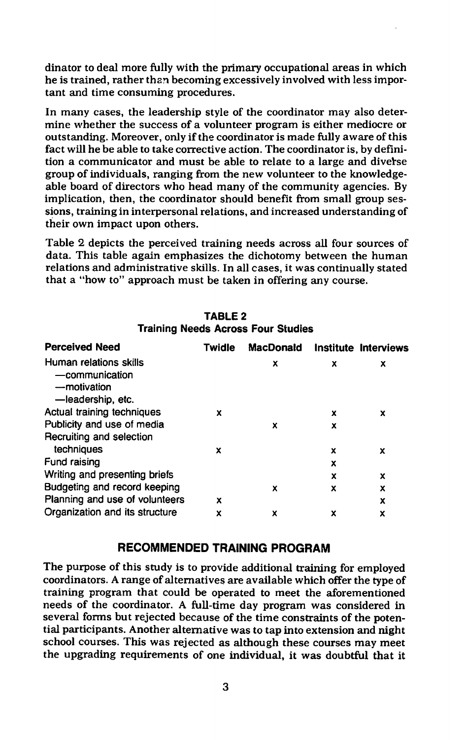dinator to deal more fully with the primary occupational areas in which he is trained, rather than becoming excessively involved with less important and time consuming procedures.

In many cases, the leadership style of the coordinator may also determine whether the success of a volunteer program is either mediocre or outstanding. Moreover, only if the coordinator is made fully aware of this fact will he be able to take corrective action. The coordinator is, by definition a communicator and must be able to relate to a large and diverse group of individuals, ranging from the new volunteer to the knowledgeable board of directors who head many of the community agencies. By implication, then, the coordinator should benefit from small group sessions, training in interpersonal relations, and increased understanding of their own impact upon others.

Table 2 depicts the perceived training needs across all four sources of data. This table again emphasizes the dichotomy between the human relations and administrative skills. In all cases, it was continually stated that a "how to" approach must be taken in offering any course.

| <b>Perceived Need</b>                                                        | Twidle | <b>MacDonald</b> |   | Institute Interviews |
|------------------------------------------------------------------------------|--------|------------------|---|----------------------|
| Human relations skills<br>-communication<br>-motivation<br>-leadership, etc. |        | x                | x | x                    |
| Actual training techniques                                                   | x      |                  | x | x                    |
| Publicity and use of media                                                   |        | x                | x |                      |
| Recruiting and selection                                                     |        |                  |   |                      |
| techniques                                                                   | x      |                  | x | x                    |
| Fund raising                                                                 |        |                  | x |                      |
| Writing and presenting briefs                                                |        |                  | x | x                    |
| Budgeting and record keeping                                                 |        | x                | x | x                    |
| Planning and use of volunteers                                               | x      |                  |   | x                    |
| Organization and its structure                                               | x      | x                | x | x                    |

#### **TABLE2 Training Needs Across Four Studies**

### **RECOMMENDED TRAINING PROGRAM**

The purpose of this study is to provide additional training for employed coordinators. A range of alternatives are available which offer the type of training program that could be operated to meet the aforementioned needs of the coordinator. A full-time day program was considered in several forms but rejected because of the time constraints of the potential participants. Another alternative was to tap into extension and night school courses. This was rejected as although these courses may meet the upgrading requirements of one individual, it was doubtful that it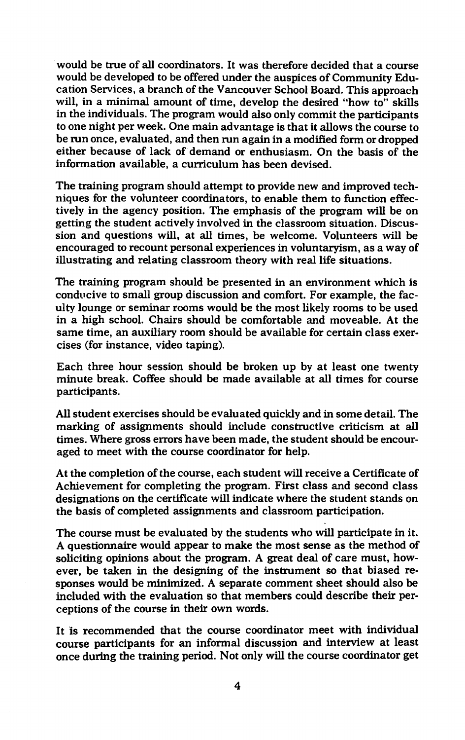would be true of all coordinators. It was therefore decided that a course would be developed to be offered under the auspices of Community Education Services, a branch of the Vancouver School Board. This approach will, in a minimal amount of time, develop the desired "how to" skills in the individuals. The program would also only commit the participants to one night per week. One main advantage is that it allows the course to be run once, evaluated, and then run again in a modified form or dropped either because of lack of demand or enthusiasm. On the basis of the information available, a curriculum has been devised.

The training program should attempt to provide new and improved techniques for the volunteer coordinators, to enable them to function effectively in the agency position. The emphasis of the program will be on getting the student actively involved in the classroom situation. Discussion and questions will, at all times, be welcome. Volunteers will be encouraged to recount personal experiences in voluntaryism, as a way of illustrating and relating classroom theory with real life situations.

The training program should be presented in an environment which is conducive to small group discussion and comfort. For example, the faculty lounge or seminar rooms would be the most likely rooms to be used in a high school. Chairs should be comfortable and moveable. At the same time, an auxiliary room should be available for certain class exercises (for instance, video taping).

Each three hour session should be broken up by at least one twenty minute break. Coffee should be made available at all times for course participants.

All student exercises should be evaluated quickly and in some detail. The marking of assignments should include constructive criticism at all times. Where gross errors have been made, the student should be encouraged to meet with the course coordinator for help.

At the completion of the course, each student will receive a Certificate of Achievement for completing the program. First class and second class designations on the certificate will indicate where the student stands on the basis of completed assignments and classroom participation.

The course must be evaluated by the students who will participate in it. A questionnaire would appear to make the most sense as the method of soliciting opinions about the program. A great deal of care must, however, be taken in the designing of the instrument so that biased responses would be minimized. A separate comment sheet should also be included with the evaluation so that members could describe their perceptions of the course in their own words.

It is recommended that the course coordinator meet with individual course participants for an informal discussion and interview at least once during the training period. Not only will the course coordinator get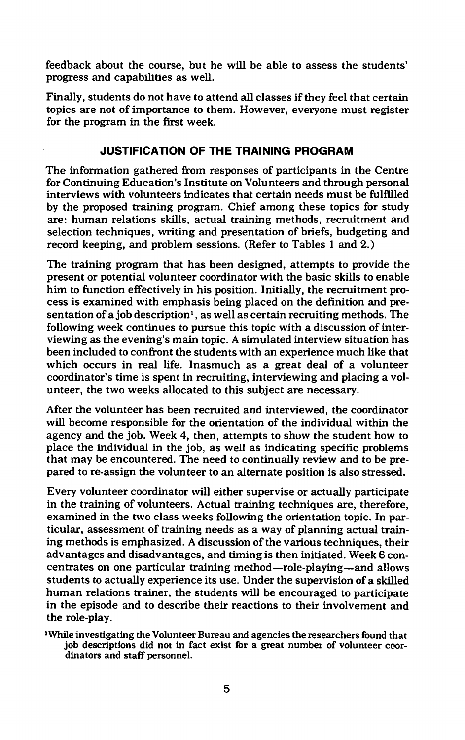feedback about the course, but he will be able to assess the students' progress and capabilities as well.

Finally, students do not have to attend all classes if they feel that certain topics are not of importance to them. However, everyone must register for the program in the first week.

# **JUSTIFICATION OF THE TRAINING PROGRAM**

The information gathered from responses of participants in the Centre for Continuing Education's Institute on Volunteers and through personal interviews with volunteers indicates that certain needs must be fulfilled by the proposed training program. Chief among these topics for study are: human relations skills, actual training methods, recruitment and selection techniques, writing and presentation of briefs, budgeting and record keeping, and problem sessions. (Refer to Tables 1 and 2.)

The training program that has been designed, attempts to provide the present or potential volunteer coordinator with the basic skills to enable him to function effectively in his position. Initially, the recruitment process is examined with emphasis being placed on the definition and presentation of a job description<sup>1</sup>, as well as certain recruiting methods. The following week continues to pursue this topic with a discussion of interviewing as the evening's main topic. A simulated interview situation has been included to confront the students with an experience much like that which occurs in real life. Inasmuch as a great deal of a volunteer coordinator's time is spent in recruiting, interviewing and placing a volunteer, the two weeks allocated to this subject are necessary.

After the volunteer has been recruited and interviewed, the coordinator will become responsible for the orientation of the individual within the agency and the job. Week 4, then, attempts to show the student how to place the individual in the job, as well as indicating specific problems that may be encountered. The need to continually review and to be prepared to re-assign the volunteer to an alternate position is also stressed.

Every volunteer coordinator will either supervise or actually participate in the training of volunteers. Actual training techniques are, therefore, examined in the two class weeks following the orientation topic. In particular, assessment of training needs as a way of planning actual training methods is emphasized. A discussion of the various techniques, their advantages and disadvantages, and timing is then initiated. Week 6 concentrates on one particular training method-role-playing-and allows students to actually experience its use. Under the supervision of a skilled human relations trainer, the students will be encouraged to participate in the episode and to describe their reactions to their involvement and the role-play.

1 While investigating the Volunteer Bureau and agencies the researchers found that job descriptions did not in fact exist for a great number of volunteer coordinators and staff personnel.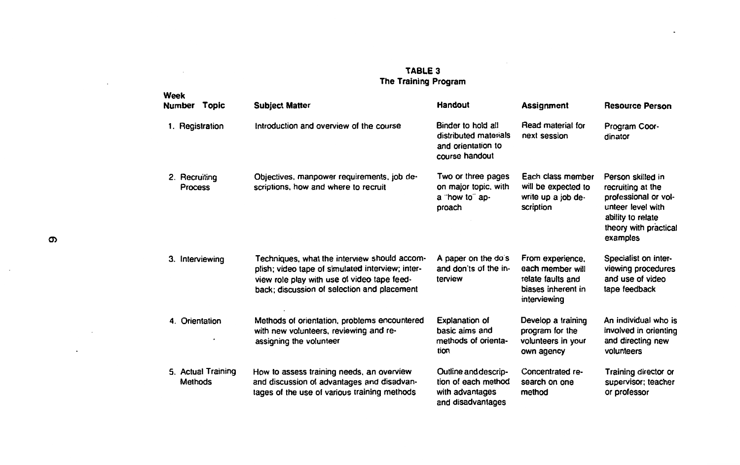#### **TABLE** 3 **The Training Program**

÷.

|    | Week<br>Number Topic     |                    | <b>Subject Matter</b>                                                                                                                                                                          | Handout                                                                             | <b>Assignment</b>                                                                               | <b>Resource Person</b>                                                                                                                        |
|----|--------------------------|--------------------|------------------------------------------------------------------------------------------------------------------------------------------------------------------------------------------------|-------------------------------------------------------------------------------------|-------------------------------------------------------------------------------------------------|-----------------------------------------------------------------------------------------------------------------------------------------------|
|    | 1. Registration          |                    | Introduction and overview of the course                                                                                                                                                        | Binder to hold all<br>distributed materials<br>and orientation to<br>course handout | Read material for<br>next session                                                               | Program Coor-<br>dinator                                                                                                                      |
|    | 2. Recruiting<br>Process |                    | Objectives, manpower requirements, job de-<br>scriptions, how and where to recruit                                                                                                             | Two or three pages<br>on major topic, with<br>a "how to" ap-<br>proach              | Each class member<br>will be expected to<br>write up a job de-<br>scription                     | Person skilled in<br>recruiting at the<br>professional or vol-<br>unteer level with<br>ability to relate<br>theory with practical<br>examples |
| З. |                          | Interviewing       | Techniques, what the interview should accom-<br>plish; video tape of simulated interview; inter-<br>view role play with use of video tape feed-<br>back; discussion of selection and placement | A paper on the do's<br>and don'ts of the in-<br>terview                             | From experience,<br>each member will<br>relate faults and<br>biases inherent in<br>interviewing | Specialist on inter-<br>viewing procedures<br>and use of video<br>tape feedback                                                               |
|    | 4. Orientation           |                    | Methods of orientation, problems encountered<br>with new volunteers, reviewing and re-<br>assigning the volunteer                                                                              | Explanation of<br>basic aims and<br>methods of orienta-<br>tion                     | Develop a training<br>program for the<br>volunteers in your<br>own agency                       | An individual who is<br>involved in orienting<br>and directing new<br>volunteers                                                              |
|    | Methods                  | 5. Actual Training | How to assess training needs, an overview<br>and discussion of advantages and disadvan-<br>tages of the use of various training methods                                                        | Outline and descrip-<br>tion of each method<br>with advantages<br>and disadvantages | Concentrated re-<br>search on one<br>method                                                     | Training director or<br>supervisor; teacher<br>or professor                                                                                   |

 $\cdot$ 

 $\sim$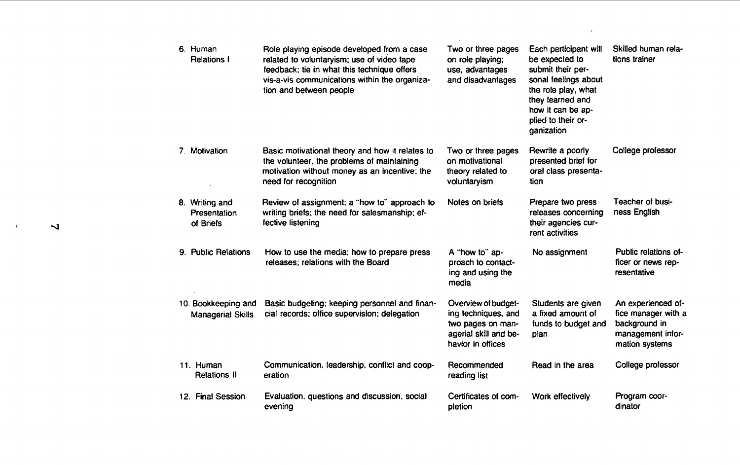| 6. Human<br><b>Relations I</b>                  | Role playing episode developed from a case<br>related to voluntaryism; use of video tape<br>feedback; tie in what this technique offers<br>vis-a-vis communications within the organiza-<br>tion and between people | Two or three pages<br>on role playing;<br>use, advantages<br>and disadvantages                                | Each participant will<br>be expected to<br>submit their per-<br>sonal feelings about<br>the role play, what<br>they learned and<br>how it can be ap-<br>plied to their or-<br>qanization | Skilled human rela-<br>tions trainer                                                              |
|-------------------------------------------------|---------------------------------------------------------------------------------------------------------------------------------------------------------------------------------------------------------------------|---------------------------------------------------------------------------------------------------------------|------------------------------------------------------------------------------------------------------------------------------------------------------------------------------------------|---------------------------------------------------------------------------------------------------|
| 7. Motivation                                   | Basic motivational theory and how it relates to<br>the volunteer, the problems of maintaining<br>motivation without money as an incentive; the<br>need for recognition                                              | Two or three pages<br>on motivational<br>theory related to<br>voluntaryism                                    | Rewrite a poorly<br>presented brief for<br>oral class presenta-<br>tion                                                                                                                  | College professor                                                                                 |
| 8. Writing and<br>Presentation<br>of Briefs     | Review of assignment; a "how to" approach to<br>writing briefs; the need for salesmanship; ef-<br>fective listening                                                                                                 | Notes on briefs                                                                                               | Prepare two press<br>releases concerning<br>their agencies cur-<br>rent activities                                                                                                       | Teacher of busi-<br>ness English                                                                  |
| 9. Public Relations                             | How to use the media; how to prepare press<br>releases: relations with the Board                                                                                                                                    | A "how to" ap-<br>proach to contact-<br>ing and using the<br>media                                            | No assignment                                                                                                                                                                            | Public relations of-<br>ficer or news rep-<br>resentative                                         |
| 10. Bookkeeping and<br><b>Managerial Skills</b> | Basic budgeting; keeping personnel and finan-<br>cial records; office supervision; delegation                                                                                                                       | Overview of budget-<br>ing techniques, and<br>two pages on man-<br>agerial skill and be-<br>havior in offices | Students are given<br>a fixed amount of<br>funds to budget and<br>plan                                                                                                                   | An experienced of-<br>fice manager with a<br>background in<br>management infor-<br>mation systems |
| 11. Human<br><b>Relations II</b>                | Communication, leadership, conflict and coop-<br>eration                                                                                                                                                            | Recommended<br>reading list                                                                                   | Read in the area                                                                                                                                                                         | College professor                                                                                 |
| 12. Final Session                               | Evaluation, questions and discussion, social<br>evening                                                                                                                                                             | Certificates of com-<br>pletion                                                                               | Work effectively                                                                                                                                                                         | Program coor-<br>dinator                                                                          |

 $\overline{v}$ 

 $\sim$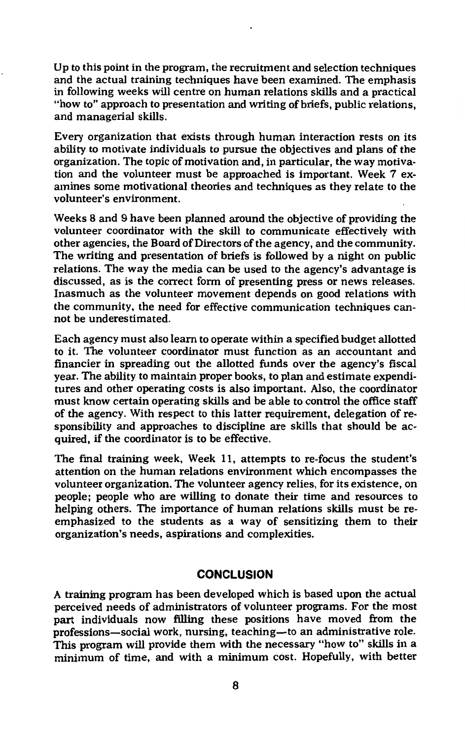Up to this point in the program, the recruitment and selection techniques and the actual training techniques have been examined. The emphasis in following weeks will centre on human relations skills and a practical "how to" approach to presentation and writing of briefs, public relations, and managerial skills.

Every organization that exists through human interaction rests on its ability to motivate individuals to pursue the objectives and plans of the organization. The topic of motivation and, in particular, the way motivation and the volunteer must be approached is important. Week 7 examines some motivational theories and techniques as they relate to the volunteer's environment.

Weeks 8 and 9 have been planned around the objective of providing the volunteer coordinator with the skill to communicate effectively with other agencies, the Board of Directors of the agency, and the community. The writing and presentation of briefs is followed by a night on public relations. The way the media can be used to the agency's advantage is discussed, as is the correct form of presenting press or news releases. Inasmuch as the volunteer movement depends on good relations with the community, the need for effective communication techniques cannot be underestimated.

Each agency must also learn to operate within a specified budget allotted to it. The volunteer coordinator must function as an accountant and financier in spreading out the allotted funds over the agency's fiscal year. The ability to maintain proper books, to plan and estimate expenditures and other operating costs is also important. Also, the coordinator must know certain operating skills and be able to control the office staff of the agency. With respect to this latter requirement, delegation of responsibility and approaches to discipline are skills that should be acquired, if the coordinator is to be effective.

The final training week, Week 11, attempts to re-focus the student's attention on the human relations environment which encompasses the volunteer organization. The volunteer agency relies, for its existence, on people; people who are willing to donate their time and resources to helping others. The importance of human relations skills must be reemphasized to the students as a way of sensitizing them to their organization's needs, aspirations and complexities.

# **CONCLUSION**

A training program has been developed which is based upon the actual perceived needs of administrators of volunteer programs. For the most part individuals now filling these positions have moved from the professions-social work, nursing, teaching-to an administrative role. This program will provide them with the necessary "how to" skills in a minimum of time, and with a minimum cost. Hopefully, with better